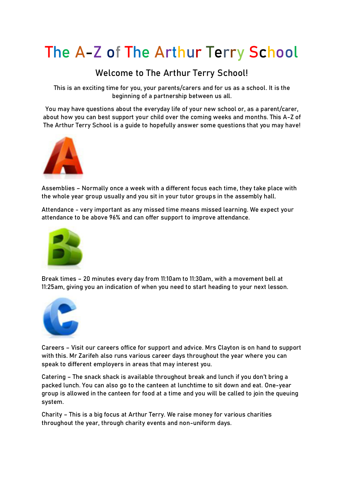## **The A-Z of The Arthur Terry School**

## **Welcome to The Arthur Terry School!**

This is an exciting time for you, your parents/carers and for us as a school. It is the beginning of a partnership between us all.

You may have questions about the everyday life of your new school or, as a parent/carer, about how you can best support your child over the coming weeks and months. This A-Z of The Arthur Terry School is a guide to hopefully answer some questions that you may have!



**Assemblies** – Normally once a week with a different focus each time, they take place with the whole year group usually and you sit in your tutor groups in the assembly hall.

**Attendance** - very important as any missed time means missed learning. We expect your attendance to be above 96% and can offer support to improve attendance.



**Break times** – 20 minutes every day from 11:10am to 11:30am, with a movement bell at 11:25am, giving you an indication of when you need to start heading to your next lesson.



**Careers** – Visit our careers office for support and advice. Mrs Clayton is on hand to support with this. Mr Zarifeh also runs various career days throughout the year where you can speak to different employers in areas that may interest you.

**Catering** – The snack shack is available throughout break and lunch if you don't bring a packed lunch. You can also go to the canteen at lunchtime to sit down and eat. One-year group is allowed in the canteen for food at a time and you will be called to join the queuing system.

**Charity** – This is a big focus at Arthur Terry. We raise money for various charities throughout the year, through charity events and non-uniform days.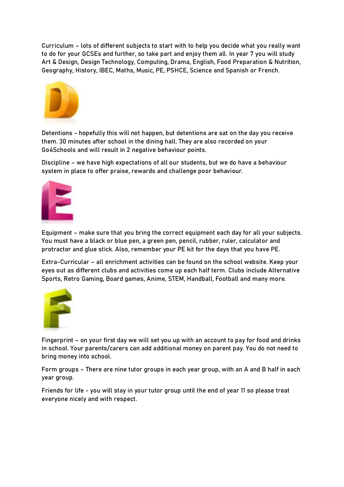**Curriculum** – lots of different subjects to start with to help you decide what you really want to do for your GCSEs and further, so take part and enjoy them all. In year 7 you will study Art & Design, Design Technology, Computing, Drama, English, Food Preparation & Nutrition, Geography, History, IBEC, Maths, Music, PE, PSHCE, Science and Spanish or French.



**Detentions** - hopefully this will not happen, but detentions are sat on the day you receive them. 30 minutes after school in the dining hall. They are also recorded on your Go4Schools and will result in 2 negative behaviour points.

**Discipline** – we have high expectations of all our students, but we do have a behaviour system in place to offer praise, rewards and challenge poor behaviour.



**Equipment** – make sure that you bring the correct equipment each day for all your subjects. You must have a black or blue pen, a green pen, pencil, rubber, ruler, calculator and protractor and glue stick. Also, remember your PE kit for the days that you have PE.

**Extra-Curricular** – all enrichment activities can be found on the school website. Keep your eyes out as different clubs and activities come up each half term. Clubs include Alternative Sports, Retro Gaming, Board games, Anime, STEM, Handball, Football and many more.



**Fingerprint** – on your first day we will set you up with an account to pay for food and drinks in school. Your parents/carers can add additional money on parent pay. You do not need to bring money into school.

**Form groups** – There are nine tutor groups in each year group, with an A and B half in each year group.

**Friends for life** - you will stay in your tutor group until the end of year 11 so please treat everyone nicely and with respect.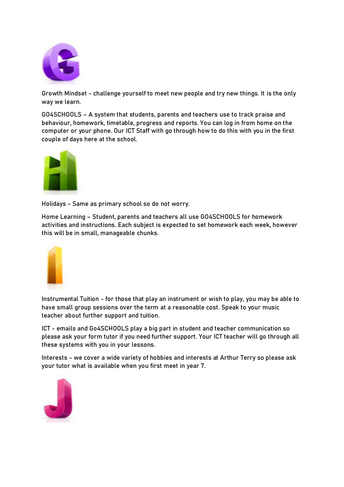

**Growth Mindset** - challenge yourself to meet new people and try new things. It is the only way we learn.

**GO4SCHOOLS** – A system that students, parents and teachers use to track praise and behaviour, homework, timetable, progress and reports. You can log in from home on the computer or your phone. Our ICT Staff with go through how to do this with you in the first couple of days here at the school.



**Holidays** - Same as primary school so do not worry.

**Home Learning** – Student, parents and teachers all use GO4SCHOOLS for homework activities and instructions. Each subject is expected to set homework each week, however this will be in small, manageable chunks.



**Instrumental Tuition** - for those that play an instrument or wish to play, you may be able to have small group sessions over the term at a reasonable cost. Speak to your music teacher about further support and tuition.

**ICT** - emails and Go4SCHOOLS play a big part in student and teacher communication so please ask your form tutor if you need further support. Your ICT teacher will go through all these systems with you in your lessons.

**Interests** - we cover a wide variety of hobbies and interests at Arthur Terry so please ask your tutor what is available when you first meet in year 7.

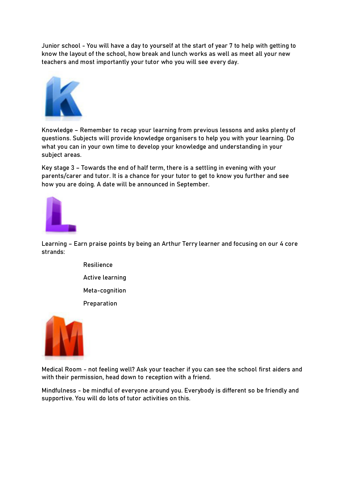**Junior school** - You will have a day to yourself at the start of year 7 to help with getting to know the layout of the school, how break and lunch works as well as meet all your new teachers and most importantly your tutor who you will see every day.



**Knowledge** – Remember to recap your learning from previous lessons and asks plenty of questions. Subjects will provide knowledge organisers to help you with your learning. Do what you can in your own time to develop your knowledge and understanding in your subject areas.

**Key stage 3** – Towards the end of half term, there is a settling in evening with your parents/carer and tutor. It is a chance for your tutor to get to know you further and see how you are doing. A date will be announced in September.



**Learning** – Earn praise points by being an Arthur Terry learner and focusing on our 4 core strands:

> Resilience Active learning Meta-cognition Preparation



**Medical Room** - not feeling well? Ask your teacher if you can see the school first aiders and with their permission, head down to reception with a friend.

**Mindfulness** - be mindful of everyone around you. Everybody is different so be friendly and supportive. You will do lots of tutor activities on this.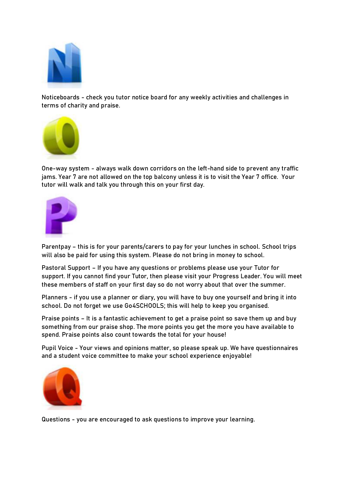

**Noticeboards** - check you tutor notice board for any weekly activities and challenges in terms of charity and praise.



**One-way system** - always walk down corridors on the left-hand side to prevent any traffic jams. Year 7 are not allowed on the top balcony unless it is to visit the Year 7 office. Your tutor will walk and talk you through this on your first day.



**Parentpay** – this is for your parents/carers to pay for your lunches in school. School trips will also be paid for using this system. Please do not bring in money to school.

**Pastoral Support** – If you have any questions or problems please use your Tutor for support. If you cannot find your Tutor, then please visit your Progress Leader. You will meet these members of staff on your first day so do not worry about that over the summer.

**Planners** - if you use a planner or diary, you will have to buy one yourself and bring it into school. Do not forget we use Go4SCHOOLS; this will help to keep you organised.

**Praise points** – It is a fantastic achievement to get a praise point so save them up and buy something from our praise shop. The more points you get the more you have available to spend. Praise points also count towards the total for your house!

**Pupil Voice** - Your views and opinions matter, so please speak up. We have questionnaires and a student voice committee to make your school experience enjoyable!



**Questions** - you are encouraged to ask questions to improve your learning.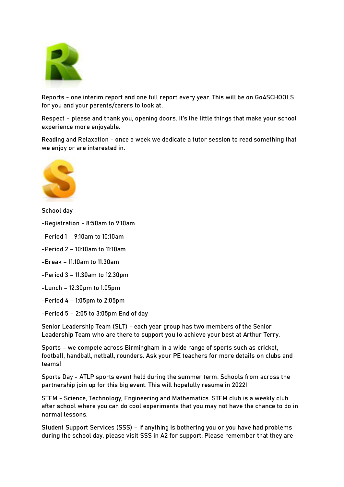

**Reports** - one interim report and one full report every year. This will be on Go4SCHOOLS for you and your parents/carers to look at.

**Respect** – please and thank you, opening doors. It's the little things that make your school experience more enjoyable.

**Reading and Relaxation** - once a week we dedicate a tutor session to read something that we enjoy or are interested in.



**School day**

-Registration - 8:50am to 9:10am

-Period 1 – 9:10am to 10:10am

-Period 2 – 10:10am to 11:10am

-Break – 11:10am to 11:30am

-Period 3 – 11:30am to 12:30pm

-Lunch – 12:30pm to 1:05pm

-Period 4 – 1:05pm to 2:05pm

-Period 5 – 2:05 to 3:05pm End of day

**Senior Leadership Team (SLT)** - each year group has two members of the Senior Leadership Team who are there to support you to achieve your best at Arthur Terry.

**Sports** – we compete across Birmingham in a wide range of sports such as cricket, football, handball, netball, rounders. Ask your PE teachers for more details on clubs and teams!

**Sports Day** - ATLP sports event held during the summer term. Schools from across the partnership join up for this big event. This will hopefully resume in 2022!

**STEM** - Science, Technology, Engineering and Mathematics. STEM club is a weekly club after school where you can do cool experiments that you may not have the chance to do in normal lessons.

**Student Support Services (SSS)** – if anything is bothering you or you have had problems during the school day, please visit SSS in A2 for support. Please remember that they are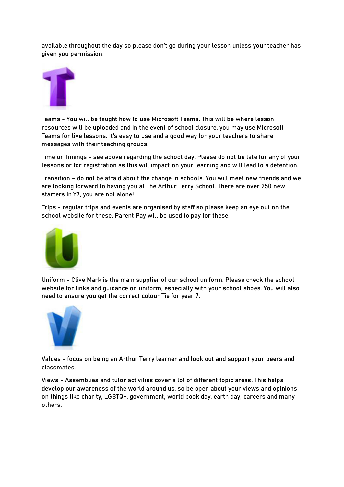available throughout the day so please don't go during your lesson unless your teacher has given you permission.



**Teams** - You will be taught how to use Microsoft Teams. This will be where lesson resources will be uploaded and in the event of school closure, you may use Microsoft Teams for live lessons. It's easy to use and a good way for your teachers to share messages with their teaching groups.

**Time or Timings** - see above regarding the school day. Please do not be late for any of your lessons or for registration as this will impact on your learning and will lead to a detention.

**Transition** – do not be afraid about the change in schools. You will meet new friends and we are looking forward to having you at The Arthur Terry School. There are over 250 new starters in Y7, you are not alone!

**Trips** - regular trips and events are organised by staff so please keep an eye out on the school website for these. Parent Pay will be used to pay for these.



**Uniform** - Clive Mark is the main supplier of our school uniform. Please check the school website for links and guidance on uniform, especially with your school shoes. You will also need to ensure you get the correct colour Tie for year 7.



**Values** - focus on being an Arthur Terry learner and look out and support your peers and classmates.

**Views** - Assemblies and tutor activities cover a lot of different topic areas. This helps develop our awareness of the world around us, so be open about your views and opinions on things like charity, LGBTQ+, government, world book day, earth day, careers and many others.